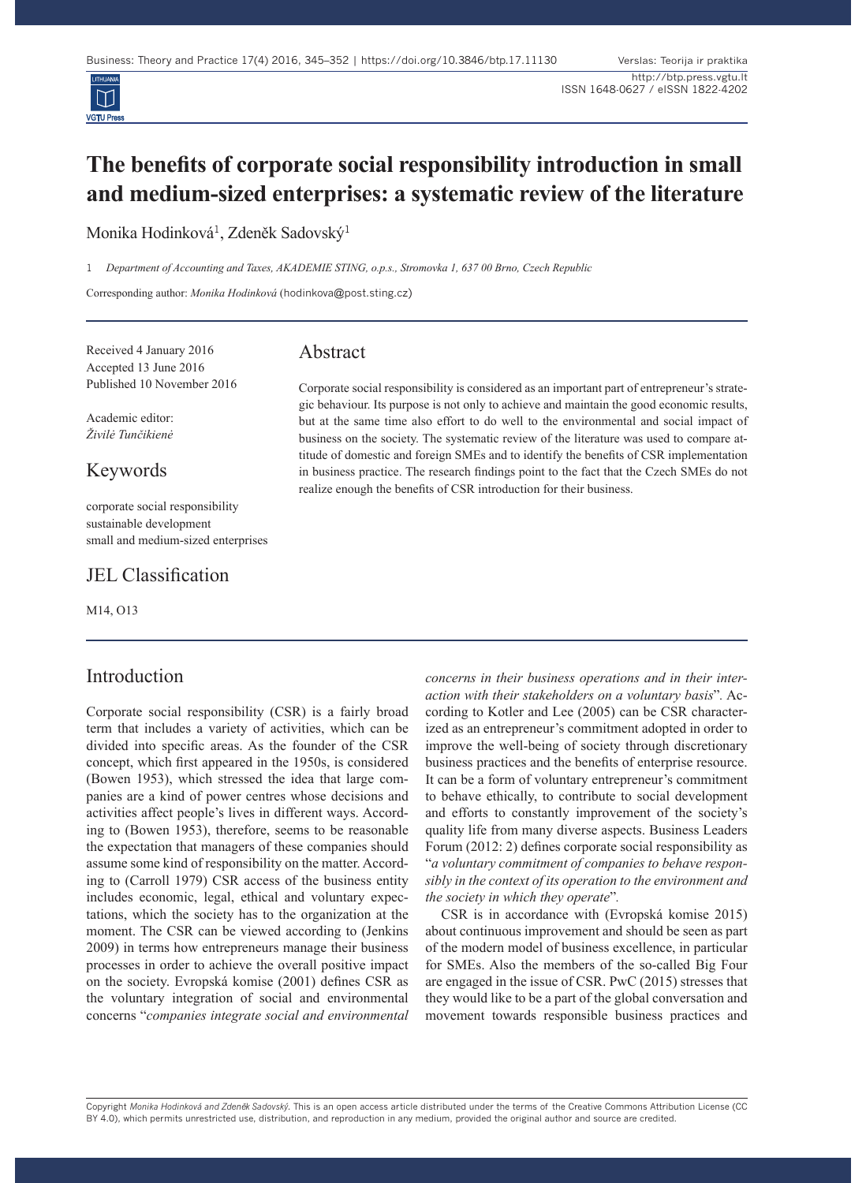

# **The benefits of corporate social responsibility introduction in small and medium-sized enterprises: a systematic review of the literature**

Monika Hodinková<sup>1</sup>, Zdeněk Sadovský<sup>1</sup>

1 *Department of Accounting and Taxes, AKADEMIE STING, o.p.s., Stromovka 1, 637 00 Brno, Czech Republic*

Corresponding author: *Monika Hodinková* (hodinkova@post.sting.cz)

Received 4 January 2016 Accepted 13 June 2016 Published 10 November 2016

Academic editor: *Živilė Tunčikienė*

#### Keywords

corporate social responsibility sustainable development small and medium-sized enterprises

#### JEL Classification

M14, O13

#### Introduction

Corporate social responsibility (CSR) is a fairly broad term that includes a variety of activities, which can be divided into specific areas. As the founder of the CSR concept, which first appeared in the 1950s, is considered (Bowen 1953), which stressed the idea that large companies are a kind of power centres whose decisions and activities affect people's lives in different ways. According to (Bowen 1953), therefore, seems to be reasonable the expectation that managers of these companies should assume some kind of responsibility on the matter. According to (Carroll 1979) CSR access of the business entity includes economic, legal, ethical and voluntary expectations, which the society has to the organization at the moment. The CSR can be viewed according to (Jenkins 2009) in terms how entrepreneurs manage their business processes in order to achieve the overall positive impact on the society. Evropská komise (2001) defines CSR as the voluntary integration of social and environmental concerns "*companies integrate social and environmental* 

# Abstract

Corporate social responsibility is considered as an important part of entrepreneur's strategic behaviour. Its purpose is not only to achieve and maintain the good economic results, but at the same time also effort to do well to the environmental and social impact of business on the society. The systematic review of the literature was used to compare attitude of domestic and foreign SMEs and to identify the benefits of CSR implementation in business practice. The research findings point to the fact that the Czech SMEs do not realize enough the benefits of CSR introduction for their business.

> *concerns in their business operations and in their interaction with their stakeholders on a voluntary basis*"*.* According to Kotler and Lee (2005) can be CSR characterized as an entrepreneur's commitment adopted in order to improve the well-being of society through discretionary business practices and the benefits of enterprise resource. It can be a form of voluntary entrepreneur's commitment to behave ethically, to contribute to social development and efforts to constantly improvement of the society's quality life from many diverse aspects. Business Leaders Forum (2012: 2) defines corporate social responsibility as "*a voluntary commitment of companies to behave responsibly in the context of its operation to the environment and the society in which they operate*"*.*

> CSR is in accordance with (Evropská komise 2015) about continuous improvement and should be seen as part of the modern model of business excellence, in particular for SMEs. Also the members of the so-called Big Four are engaged in the issue of CSR. PwC (2015) stresses that they would like to be a part of the global conversation and movement towards responsible business practices and

Copyright Monika Hodinková and Zdeněk Sadovský. This is an open access article distributed under the terms of the Creative Commons Attribution License (CC BY 4.0), which permits unrestricted use, distribution, and reproduction in any medium, provided the original author and source are credited.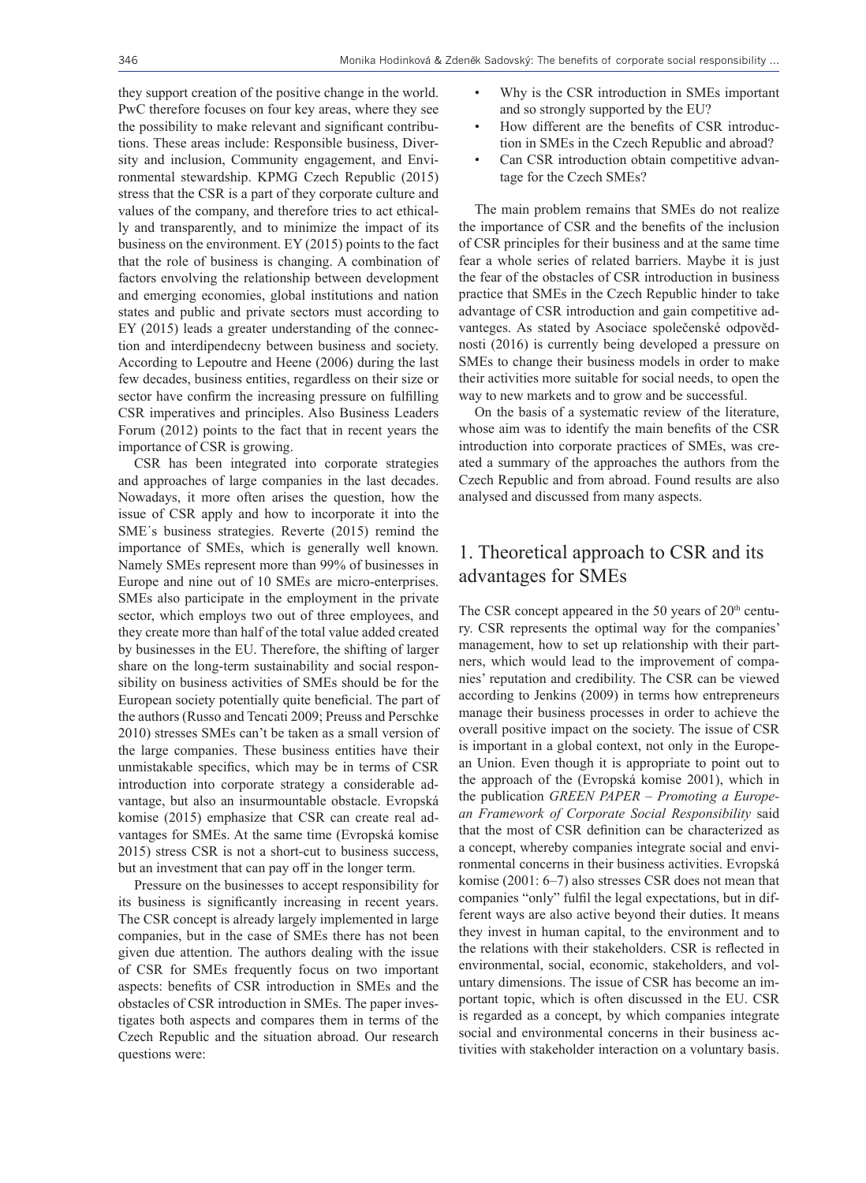they support creation of the positive change in the world. PwC therefore focuses on four key areas, where they see the possibility to make relevant and significant contributions. These areas include: Responsible business, Diversity and inclusion, Community engagement, and Environmental stewardship. KPMG Czech Republic (2015) stress that the CSR is a part of they corporate culture and values of the company, and therefore tries to act ethically and transparently, and to minimize the impact of its business on the environment. EY (2015) points to the fact that the role of business is changing. A combination of factors envolving the relationship between development and emerging economies, global institutions and nation states and public and private sectors must according to EY (2015) leads a greater understanding of the connection and interdipendecny between business and society. According to Lepoutre and Heene (2006) during the last few decades, business entities, regardless on their size or sector have confirm the increasing pressure on fulfilling CSR imperatives and principles. Also Business Leaders Forum (2012) points to the fact that in recent years the importance of CSR is growing.

CSR has been integrated into corporate strategies and approaches of large companies in the last decades. Nowadays, it more often arises the question, how the issue of CSR apply and how to incorporate it into the SME´s business strategies. Reverte (2015) remind the importance of SMEs, which is generally well known. Namely SMEs represent more than 99% of businesses in Europe and nine out of 10 SMEs are micro-enterprises. SMEs also participate in the employment in the private sector, which employs two out of three employees, and they create more than half of the total value added created by businesses in the EU. Therefore, the shifting of larger share on the long-term sustainability and social responsibility on business activities of SMEs should be for the European society potentially quite beneficial. The part of the authors (Russo and Tencati 2009; Preuss and Perschke 2010) stresses SMEs can't be taken as a small version of the large companies. These business entities have their unmistakable specifics, which may be in terms of CSR introduction into corporate strategy a considerable advantage, but also an insurmountable obstacle. Evropská komise (2015) emphasize that CSR can create real advantages for SMEs. At the same time (Evropská komise 2015) stress CSR is not a short-cut to business success, but an investment that can pay off in the longer term.

Pressure on the businesses to accept responsibility for its business is significantly increasing in recent years. The CSR concept is already largely implemented in large companies, but in the case of SMEs there has not been given due attention. The authors dealing with the issue of CSR for SMEs frequently focus on two important aspects: benefits of CSR introduction in SMEs and the obstacles of CSR introduction in SMEs. The paper investigates both aspects and compares them in terms of the Czech Republic and the situation abroad. Our research questions were:

- Why is the CSR introduction in SMEs important and so strongly supported by the EU?
- How different are the benefits of CSR introduction in SMEs in the Czech Republic and abroad?
- Can CSR introduction obtain competitive advantage for the Czech SMEs?

The main problem remains that SMEs do not realize the importance of CSR and the benefits of the inclusion of CSR principles for their business and at the same time fear a whole series of related barriers. Maybe it is just the fear of the obstacles of CSR introduction in business practice that SMEs in the Czech Republic hinder to take advantage of CSR introduction and gain competitive advanteges. As stated by Asociace společenské odpovědnosti (2016) is currently being developed a pressure on SMEs to change their business models in order to make their activities more suitable for social needs, to open the way to new markets and to grow and be successful.

On the basis of a systematic review of the literature, whose aim was to identify the main benefits of the CSR introduction into corporate practices of SMEs, was created a summary of the approaches the authors from the Czech Republic and from abroad. Found results are also analysed and discussed from many aspects.

## 1. Theoretical approach to CSR and its advantages for SMEs

The CSR concept appeared in the 50 years of  $20<sup>th</sup>$  century. CSR represents the optimal way for the companies' management, how to set up relationship with their partners, which would lead to the improvement of companies' reputation and credibility. The CSR can be viewed according to Jenkins (2009) in terms how entrepreneurs manage their business processes in order to achieve the overall positive impact on the society. The issue of CSR is important in a global context, not only in the European Union. Even though it is appropriate to point out to the approach of the (Evropská komise 2001), which in the publication *GREEN PAPER – Promoting a European Framework of Corporate Social Responsibility* said that the most of CSR definition can be characterized as a concept, whereby companies integrate social and environmental concerns in their business activities. Evropská komise (2001: 6–7) also stresses CSR does not mean that companies "only" fulfil the legal expectations, but in different ways are also active beyond their duties. It means they invest in human capital, to the environment and to the relations with their stakeholders. CSR is reflected in environmental, social, economic, stakeholders, and voluntary dimensions. The issue of CSR has become an important topic, which is often discussed in the EU. CSR is regarded as a concept, by which companies integrate social and environmental concerns in their business activities with stakeholder interaction on a voluntary basis.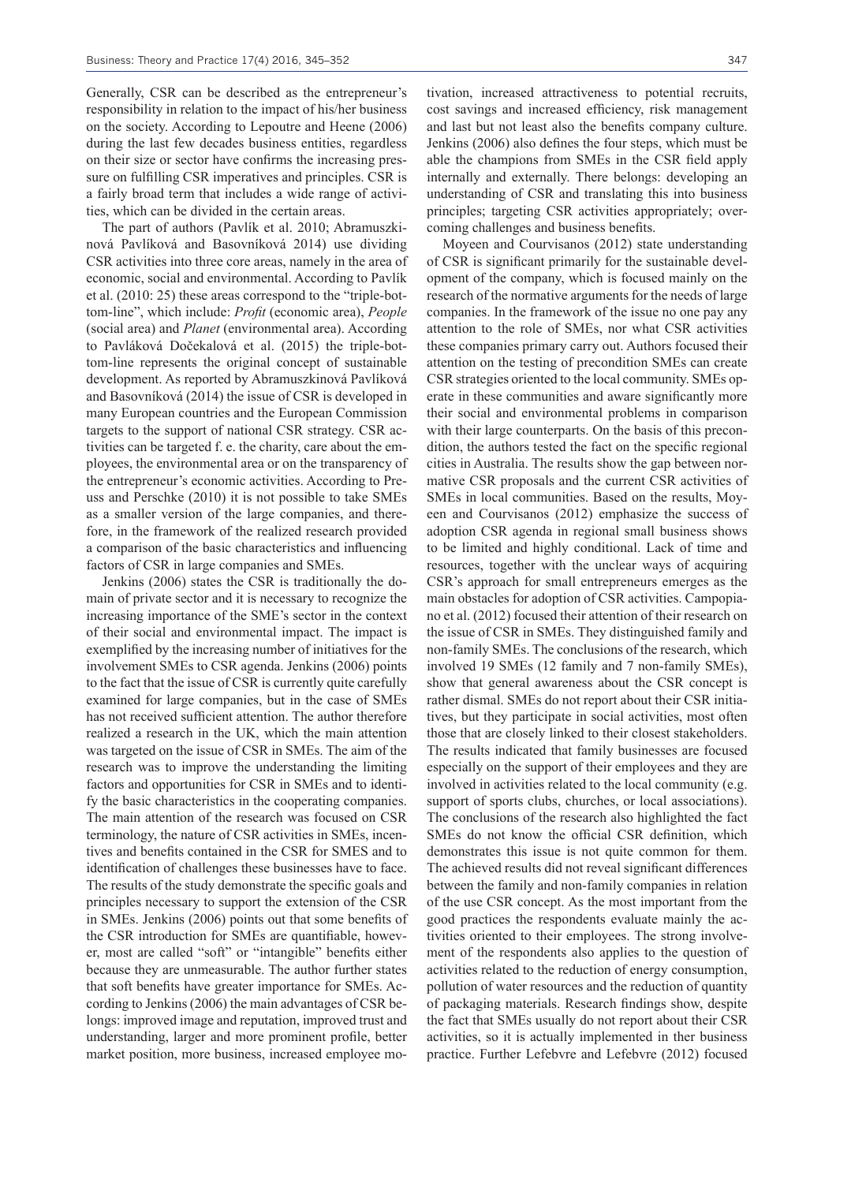Generally, CSR can be described as the entrepreneur's responsibility in relation to the impact of his/her business on the society. According to Lepoutre and Heene (2006) during the last few decades business entities, regardless on their size or sector have confirms the increasing pressure on fulfilling CSR imperatives and principles. CSR is a fairly broad term that includes a wide range of activities, which can be divided in the certain areas.

The part of authors (Pavlík et al. 2010; Abramuszkinová Pavlíková and Basovníková 2014) use dividing CSR activities into three core areas, namely in the area of economic, social and environmental. According to Pavlík et al. (2010: 25) these areas correspond to the "triple-bottom-line", which include: *Profit* (economic area), *People*  (social area) and *Planet* (environmental area). According to Pavláková Dočekalová et al. (2015) the triple-bottom-line represents the original concept of sustainable development. As reported by Abramuszkinová Pavlíková and Basovníková (2014) the issue of CSR is developed in many European countries and the European Commission targets to the support of national CSR strategy. CSR activities can be targeted f. e. the charity, care about the employees, the environmental area or on the transparency of the entrepreneur's economic activities. According to Preuss and Perschke (2010) it is not possible to take SMEs as a smaller version of the large companies, and therefore, in the framework of the realized research provided a comparison of the basic characteristics and influencing factors of CSR in large companies and SMEs.

Jenkins (2006) states the CSR is traditionally the domain of private sector and it is necessary to recognize the increasing importance of the SME's sector in the context of their social and environmental impact. The impact is exemplified by the increasing number of initiatives for the involvement SMEs to CSR agenda. Jenkins (2006) points to the fact that the issue of CSR is currently quite carefully examined for large companies, but in the case of SMEs has not received sufficient attention. The author therefore realized a research in the UK, which the main attention was targeted on the issue of CSR in SMEs. The aim of the research was to improve the understanding the limiting factors and opportunities for CSR in SMEs and to identify the basic characteristics in the cooperating companies. The main attention of the research was focused on CSR terminology, the nature of CSR activities in SMEs, incentives and benefits contained in the CSR for SMES and to identification of challenges these businesses have to face. The results of the study demonstrate the specific goals and principles necessary to support the extension of the CSR in SMEs. Jenkins (2006) points out that some benefits of the CSR introduction for SMEs are quantifiable, however, most are called "soft" or "intangible" benefits either because they are unmeasurable. The author further states that soft benefits have greater importance for SMEs. According to Jenkins (2006) the main advantages of CSR belongs: improved image and reputation, improved trust and understanding, larger and more prominent profile, better market position, more business, increased employee motivation, increased attractiveness to potential recruits, cost savings and increased efficiency, risk management and last but not least also the benefits company culture. Jenkins (2006) also defines the four steps, which must be able the champions from SMEs in the CSR field apply internally and externally. There belongs: developing an understanding of CSR and translating this into business principles; targeting CSR activities appropriately; overcoming challenges and business benefits.

Moyeen and Courvisanos (2012) state understanding of CSR is significant primarily for the sustainable development of the company, which is focused mainly on the research of the normative arguments for the needs of large companies. In the framework of the issue no one pay any attention to the role of SMEs, nor what CSR activities these companies primary carry out. Authors focused their attention on the testing of precondition SMEs can create CSR strategies oriented to the local community. SMEs operate in these communities and aware significantly more their social and environmental problems in comparison with their large counterparts. On the basis of this precondition, the authors tested the fact on the specific regional cities in Australia. The results show the gap between normative CSR proposals and the current CSR activities of SMEs in local communities. Based on the results, Moyeen and Courvisanos (2012) emphasize the success of adoption CSR agenda in regional small business shows to be limited and highly conditional. Lack of time and resources, together with the unclear ways of acquiring CSR's approach for small entrepreneurs emerges as the main obstacles for adoption of CSR activities. Campopiano et al. (2012) focused their attention of their research on the issue of CSR in SMEs. They distinguished family and non-family SMEs. The conclusions of the research, which involved 19 SMEs (12 family and 7 non-family SMEs), show that general awareness about the CSR concept is rather dismal. SMEs do not report about their CSR initiatives, but they participate in social activities, most often those that are closely linked to their closest stakeholders. The results indicated that family businesses are focused especially on the support of their employees and they are involved in activities related to the local community (e.g. support of sports clubs, churches, or local associations). The conclusions of the research also highlighted the fact SMEs do not know the official CSR definition, which demonstrates this issue is not quite common for them. The achieved results did not reveal significant differences between the family and non-family companies in relation of the use CSR concept. As the most important from the good practices the respondents evaluate mainly the activities oriented to their employees. The strong involvement of the respondents also applies to the question of activities related to the reduction of energy consumption, pollution of water resources and the reduction of quantity of packaging materials. Research findings show, despite the fact that SMEs usually do not report about their CSR activities, so it is actually implemented in ther business practice. Further Lefebvre and Lefebvre (2012) focused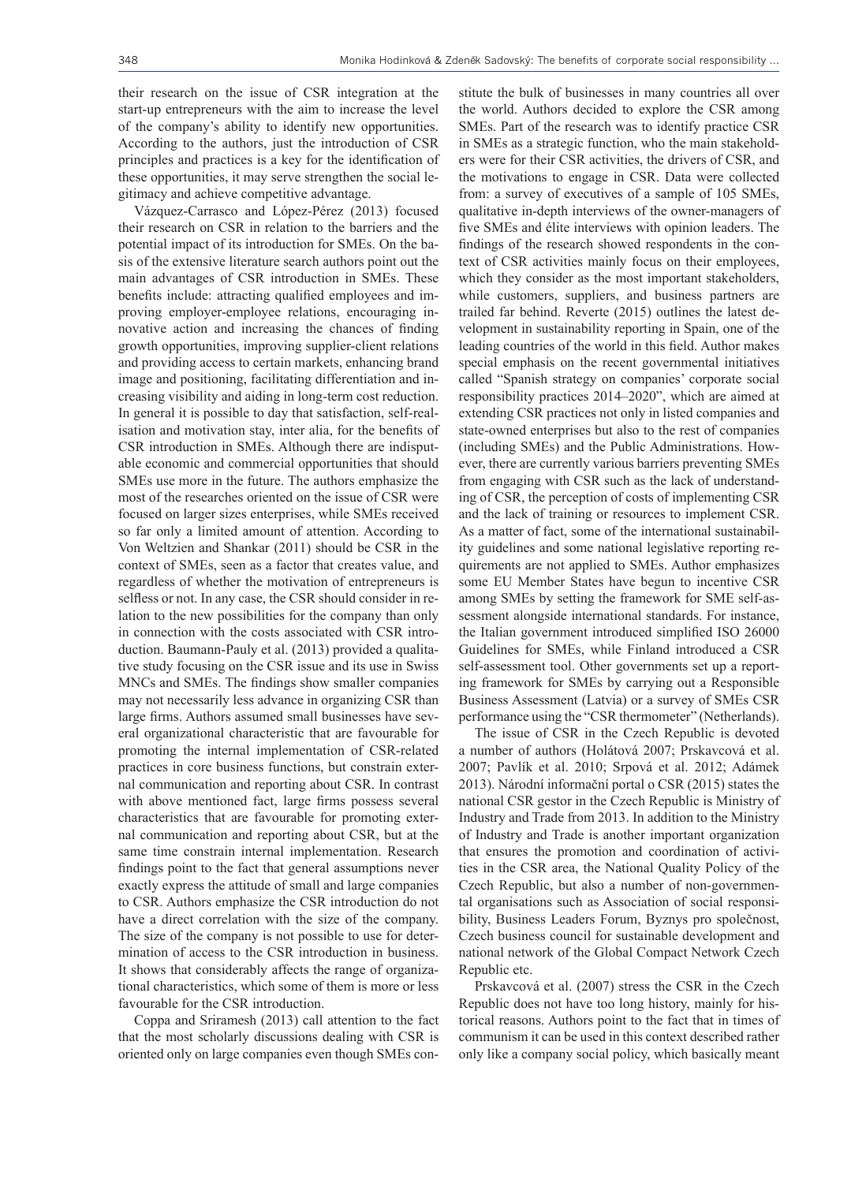their research on the issue of CSR integration at the start-up entrepreneurs with the aim to increase the level of the company's ability to identify new opportunities. According to the authors, just the introduction of CSR principles and practices is a key for the identification of these opportunities, it may serve strengthen the social legitimacy and achieve competitive advantage.

Vázquez-Carrasco and López-Pérez (2013) focused their research on CSR in relation to the barriers and the potential impact of its introduction for SMEs. On the basis of the extensive literature search authors point out the main advantages of CSR introduction in SMEs. These benefits include: attracting qualified employees and improving employer-employee relations, encouraging innovative action and increasing the chances of finding growth opportunities, improving supplier-client relations and providing access to certain markets, enhancing brand image and positioning, facilitating differentiation and increasing visibility and aiding in long-term cost reduction. In general it is possible to day that satisfaction, self-realisation and motivation stay, inter alia, for the benefits of CSR introduction in SMEs. Although there are indisputable economic and commercial opportunities that should SMEs use more in the future. The authors emphasize the most of the researches oriented on the issue of CSR were focused on larger sizes enterprises, while SMEs received so far only a limited amount of attention. According to Von Weltzien and Shankar (2011) should be CSR in the context of SMEs, seen as a factor that creates value, and regardless of whether the motivation of entrepreneurs is selfless or not. In any case, the CSR should consider in relation to the new possibilities for the company than only in connection with the costs associated with CSR introduction. Baumann-Pauly et al. (2013) provided a qualitative study focusing on the CSR issue and its use in Swiss MNCs and SMEs. The findings show smaller companies may not necessarily less advance in organizing CSR than large firms. Authors assumed small businesses have several organizational characteristic that are favourable for promoting the internal implementation of CSR-related practices in core business functions, but constrain external communication and reporting about CSR. In contrast with above mentioned fact, large firms possess several characteristics that are favourable for promoting external communication and reporting about CSR, but at the same time constrain internal implementation. Research findings point to the fact that general assumptions never exactly express the attitude of small and large companies to CSR. Authors emphasize the CSR introduction do not have a direct correlation with the size of the company. The size of the company is not possible to use for determination of access to the CSR introduction in business. It shows that considerably affects the range of organizational characteristics, which some of them is more or less favourable for the CSR introduction.

Coppa and Sriramesh (2013) call attention to the fact that the most scholarly discussions dealing with CSR is oriented only on large companies even though SMEs constitute the bulk of businesses in many countries all over the world. Authors decided to explore the CSR among SMEs. Part of the research was to identify practice CSR in SMEs as a strategic function, who the main stakeholders were for their CSR activities, the drivers of CSR, and the motivations to engage in CSR. Data were collected from: a survey of executives of a sample of 105 SMEs, qualitative in-depth interviews of the owner-managers of five SMEs and élite interviews with opinion leaders. The findings of the research showed respondents in the context of CSR activities mainly focus on their employees, which they consider as the most important stakeholders, while customers, suppliers, and business partners are trailed far behind. Reverte (2015) outlines the latest development in sustainability reporting in Spain, one of the leading countries of the world in this field. Author makes special emphasis on the recent governmental initiatives called "Spanish strategy on companies' corporate social responsibility practices 2014–2020", which are aimed at extending CSR practices not only in listed companies and state-owned enterprises but also to the rest of companies (including SMEs) and the Public Administrations. However, there are currently various barriers preventing SMEs from engaging with CSR such as the lack of understanding of CSR, the perception of costs of implementing CSR and the lack of training or resources to implement CSR. As a matter of fact, some of the international sustainability guidelines and some national legislative reporting requirements are not applied to SMEs. Author emphasizes some EU Member States have begun to incentive CSR among SMEs by setting the framework for SME self-assessment alongside international standards. For instance, the Italian government introduced simplified ISO 26000 Guidelines for SMEs, while Finland introduced a CSR self-assessment tool. Other governments set up a reporting framework for SMEs by carrying out a Responsible Business Assessment (Latvia) or a survey of SMEs CSR performance using the "CSR thermometer" (Netherlands).

The issue of CSR in the Czech Republic is devoted a number of authors (Holátová 2007; Prskavcová et al. 2007; Pavlík et al. 2010; Srpová et al. 2012; Adámek 2013). Národní informační portal o CSR (2015) states the national CSR gestor in the Czech Republic is Ministry of Industry and Trade from 2013. In addition to the Ministry of Industry and Trade is another important organization that ensures the promotion and coordination of activities in the CSR area, the National Quality Policy of the Czech Republic, but also a number of non-governmental organisations such as Association of social responsibility, Business Leaders Forum, Byznys pro společnost, Czech business council for sustainable development and national network of the Global Compact Network Czech Republic etc.

Prskavcová et al. (2007) stress the CSR in the Czech Republic does not have too long history, mainly for historical reasons. Authors point to the fact that in times of communism it can be used in this context described rather only like a company social policy, which basically meant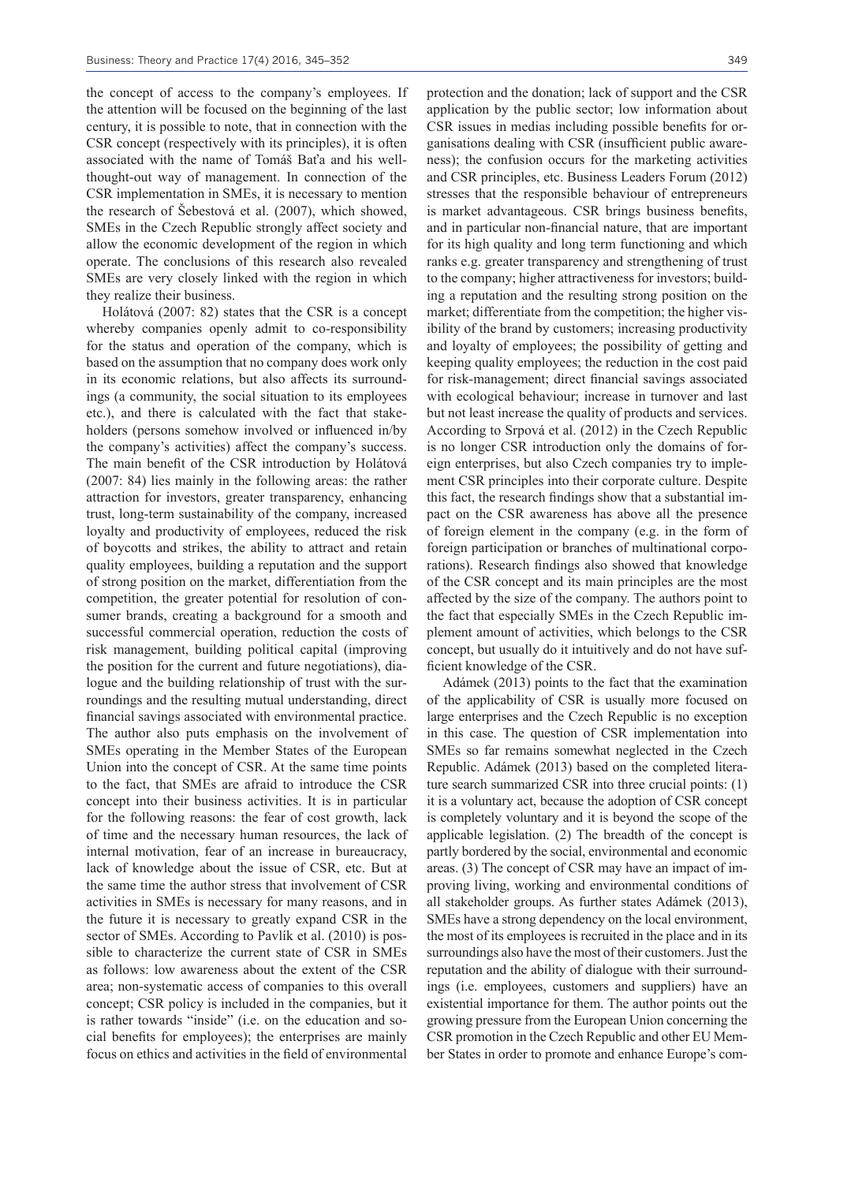the concept of access to the company's employees. If the attention will be focused on the beginning of the last century, it is possible to note, that in connection with the CSR concept (respectively with its principles), it is often associated with the name of Tomáš Baťa and his wellthought-out way of management. In connection of the CSR implementation in SMEs, it is necessary to mention the research of Šebestová et al. (2007), which showed, SMEs in the Czech Republic strongly affect society and allow the economic development of the region in which operate. The conclusions of this research also revealed SMEs are very closely linked with the region in which they realize their business.

Holátová (2007: 82) states that the CSR is a concept whereby companies openly admit to co-responsibility for the status and operation of the company, which is based on the assumption that no company does work only in its economic relations, but also affects its surroundings (a community, the social situation to its employees etc.), and there is calculated with the fact that stakeholders (persons somehow involved or influenced in/by the company's activities) affect the company's success. The main benefit of the CSR introduction by Holátová (2007: 84) lies mainly in the following areas: the rather attraction for investors, greater transparency, enhancing trust, long-term sustainability of the company, increased loyalty and productivity of employees, reduced the risk of boycotts and strikes, the ability to attract and retain quality employees, building a reputation and the support of strong position on the market, differentiation from the competition, the greater potential for resolution of consumer brands, creating a background for a smooth and successful commercial operation, reduction the costs of risk management, building political capital (improving the position for the current and future negotiations), dialogue and the building relationship of trust with the surroundings and the resulting mutual understanding, direct financial savings associated with environmental practice. The author also puts emphasis on the involvement of SMEs operating in the Member States of the European Union into the concept of CSR. At the same time points to the fact, that SMEs are afraid to introduce the CSR concept into their business activities. It is in particular for the following reasons: the fear of cost growth, lack of time and the necessary human resources, the lack of internal motivation, fear of an increase in bureaucracy, lack of knowledge about the issue of CSR, etc. But at the same time the author stress that involvement of CSR activities in SMEs is necessary for many reasons, and in the future it is necessary to greatly expand CSR in the sector of SMEs. According to Pavlík et al. (2010) is possible to characterize the current state of CSR in SMEs as follows: low awareness about the extent of the CSR area; non-systematic access of companies to this overall concept; CSR policy is included in the companies, but it is rather towards "inside" (i.e. on the education and social benefits for employees); the enterprises are mainly focus on ethics and activities in the field of environmental

protection and the donation; lack of support and the CSR application by the public sector; low information about CSR issues in medias including possible benefits for organisations dealing with CSR (insufficient public awareness); the confusion occurs for the marketing activities and CSR principles, etc. Business Leaders Forum (2012) stresses that the responsible behaviour of entrepreneurs is market advantageous. CSR brings business benefits, and in particular non-financial nature, that are important for its high quality and long term functioning and which ranks e.g. greater transparency and strengthening of trust to the company; higher attractiveness for investors; building a reputation and the resulting strong position on the market; differentiate from the competition; the higher visibility of the brand by customers; increasing productivity and loyalty of employees; the possibility of getting and keeping quality employees; the reduction in the cost paid for risk-management; direct financial savings associated with ecological behaviour; increase in turnover and last but not least increase the quality of products and services. According to Srpová et al. (2012) in the Czech Republic is no longer CSR introduction only the domains of foreign enterprises, but also Czech companies try to implement CSR principles into their corporate culture. Despite this fact, the research findings show that a substantial impact on the CSR awareness has above all the presence of foreign element in the company (e.g. in the form of foreign participation or branches of multinational corporations). Research findings also showed that knowledge of the CSR concept and its main principles are the most affected by the size of the company. The authors point to the fact that especially SMEs in the Czech Republic implement amount of activities, which belongs to the CSR concept, but usually do it intuitively and do not have sufficient knowledge of the CSR.

Adámek (2013) points to the fact that the examination of the applicability of CSR is usually more focused on large enterprises and the Czech Republic is no exception in this case. The question of CSR implementation into SMEs so far remains somewhat neglected in the Czech Republic. Adámek (2013) based on the completed literature search summarized CSR into three crucial points: (1) it is a voluntary act, because the adoption of CSR concept is completely voluntary and it is beyond the scope of the applicable legislation. (2) The breadth of the concept is partly bordered by the social, environmental and economic areas. (3) The concept of CSR may have an impact of improving living, working and environmental conditions of all stakeholder groups. As further states Adámek (2013), SMEs have a strong dependency on the local environment, the most of its employees is recruited in the place and in its surroundings also have the most of their customers. Just the reputation and the ability of dialogue with their surroundings (i.e. employees, customers and suppliers) have an existential importance for them. The author points out the growing pressure from the European Union concerning the CSR promotion in the Czech Republic and other EU Member States in order to promote and enhance Europe's com-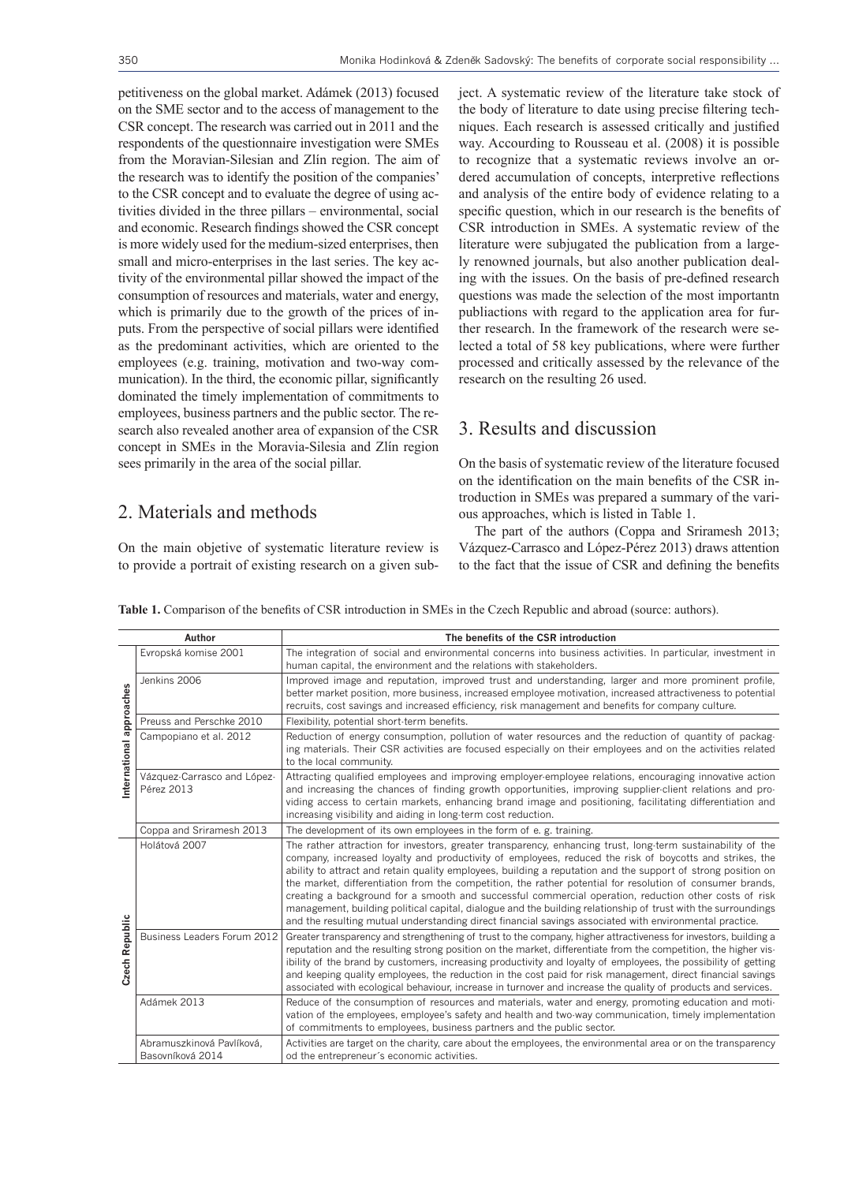petitiveness on the global market. Adámek (2013) focused on the SME sector and to the access of management to the CSR concept. The research was carried out in 2011 and the respondents of the questionnaire investigation were SMEs from the Moravian-Silesian and Zlín region. The aim of the research was to identify the position of the companies' to the CSR concept and to evaluate the degree of using activities divided in the three pillars – environmental, social and economic. Research findings showed the CSR concept is more widely used for the medium-sized enterprises, then small and micro-enterprises in the last series. The key activity of the environmental pillar showed the impact of the consumption of resources and materials, water and energy, which is primarily due to the growth of the prices of inputs. From the perspective of social pillars were identified as the predominant activities, which are oriented to the employees (e.g. training, motivation and two-way communication). In the third, the economic pillar, significantly dominated the timely implementation of commitments to employees, business partners and the public sector. The research also revealed another area of expansion of the CSR concept in SMEs in the Moravia-Silesia and Zlín region sees primarily in the area of the social pillar.

#### 2. Materials and methods

On the main objetive of systematic literature review is to provide a portrait of existing research on a given subject. A systematic review of the literature take stock of the body of literature to date using precise filtering techniques. Each research is assessed critically and justified way. Accourding to Rousseau et al. (2008) it is possible to recognize that a systematic reviews involve an ordered accumulation of concepts, interpretive reflections and analysis of the entire body of evidence relating to a specific question, which in our research is the benefits of CSR introduction in SMEs. A systematic review of the literature were subjugated the publication from a largely renowned journals, but also another publication dealing with the issues. On the basis of pre-defined research questions was made the selection of the most importantn publiactions with regard to the application area for further research. In the framework of the research were selected a total of 58 key publications, where were further processed and critically assessed by the relevance of the research on the resulting 26 used.

#### 3. Results and discussion

On the basis of systematic review of the literature focused on the identification on the main benefits of the CSR introduction in SMEs was prepared a summary of the various approaches, which is listed in Table 1.

The part of the authors (Coppa and Sriramesh 2013; Vázquez-Carrasco and López-Pérez 2013) draws attention to the fact that the issue of CSR and defining the benefits

**Table 1.** Comparison of the benefits of CSR introduction in SMEs in the Czech Republic and abroad (source: authors).

| Author                   |                                               | The benefits of the CSR introduction                                                                                                                                                                                                                                                                                                                                                                                                                                                                                                                                                                                                                                                                                                                                                     |
|--------------------------|-----------------------------------------------|------------------------------------------------------------------------------------------------------------------------------------------------------------------------------------------------------------------------------------------------------------------------------------------------------------------------------------------------------------------------------------------------------------------------------------------------------------------------------------------------------------------------------------------------------------------------------------------------------------------------------------------------------------------------------------------------------------------------------------------------------------------------------------------|
| International approaches | Evropská komise 2001                          | The integration of social and environmental concerns into business activities. In particular, investment in<br>human capital, the environment and the relations with stakeholders.                                                                                                                                                                                                                                                                                                                                                                                                                                                                                                                                                                                                       |
|                          | Jenkins 2006                                  | Improved image and reputation, improved trust and understanding, larger and more prominent profile,<br>better market position, more business, increased employee motivation, increased attractiveness to potential<br>recruits, cost savings and increased efficiency, risk management and benefits for company culture.                                                                                                                                                                                                                                                                                                                                                                                                                                                                 |
|                          | Preuss and Perschke 2010                      | Flexibility, potential short-term benefits.                                                                                                                                                                                                                                                                                                                                                                                                                                                                                                                                                                                                                                                                                                                                              |
|                          | Campopiano et al. 2012                        | Reduction of energy consumption, pollution of water resources and the reduction of quantity of packag-<br>ing materials. Their CSR activities are focused especially on their employees and on the activities related<br>to the local community.                                                                                                                                                                                                                                                                                                                                                                                                                                                                                                                                         |
|                          | Vázquez-Carrasco and López-<br>Pérez 2013     | Attracting qualified employees and improving employer-employee relations, encouraging innovative action<br>and increasing the chances of finding growth opportunities, improving supplier-client relations and pro-<br>viding access to certain markets, enhancing brand image and positioning, facilitating differentiation and<br>increasing visibility and aiding in long-term cost reduction.                                                                                                                                                                                                                                                                                                                                                                                        |
|                          | Coppa and Sriramesh 2013                      | The development of its own employees in the form of e.g. training.                                                                                                                                                                                                                                                                                                                                                                                                                                                                                                                                                                                                                                                                                                                       |
| Czech Republic           | Holátová 2007                                 | The rather attraction for investors, greater transparency, enhancing trust, long-term sustainability of the<br>company, increased loyalty and productivity of employees, reduced the risk of boycotts and strikes, the<br>ability to attract and retain quality employees, building a reputation and the support of strong position on<br>the market, differentiation from the competition, the rather potential for resolution of consumer brands,<br>creating a background for a smooth and successful commercial operation, reduction other costs of risk<br>management, building political capital, dialogue and the building relationship of trust with the surroundings<br>and the resulting mutual understanding direct financial savings associated with environmental practice. |
|                          | Business Leaders Forum 2012                   | Greater transparency and strengthening of trust to the company, higher attractiveness for investors, building a<br>reputation and the resulting strong position on the market, differentiate from the competition, the higher vis-<br>ibility of the brand by customers, increasing productivity and loyalty of employees, the possibility of getting<br>and keeping quality employees, the reduction in the cost paid for risk management, direct financial savings<br>associated with ecological behaviour, increase in turnover and increase the quality of products and services.                                                                                                                                                                                                    |
|                          | Adámek 2013                                   | Reduce of the consumption of resources and materials, water and energy, promoting education and moti-<br>vation of the employees, employee's safety and health and two-way communication, timely implementation<br>of commitments to employees, business partners and the public sector.                                                                                                                                                                                                                                                                                                                                                                                                                                                                                                 |
|                          | Abramuszkinová Pavlíková,<br>Basovníková 2014 | Activities are target on the charity, care about the employees, the environmental area or on the transparency<br>od the entrepreneur's economic activities.                                                                                                                                                                                                                                                                                                                                                                                                                                                                                                                                                                                                                              |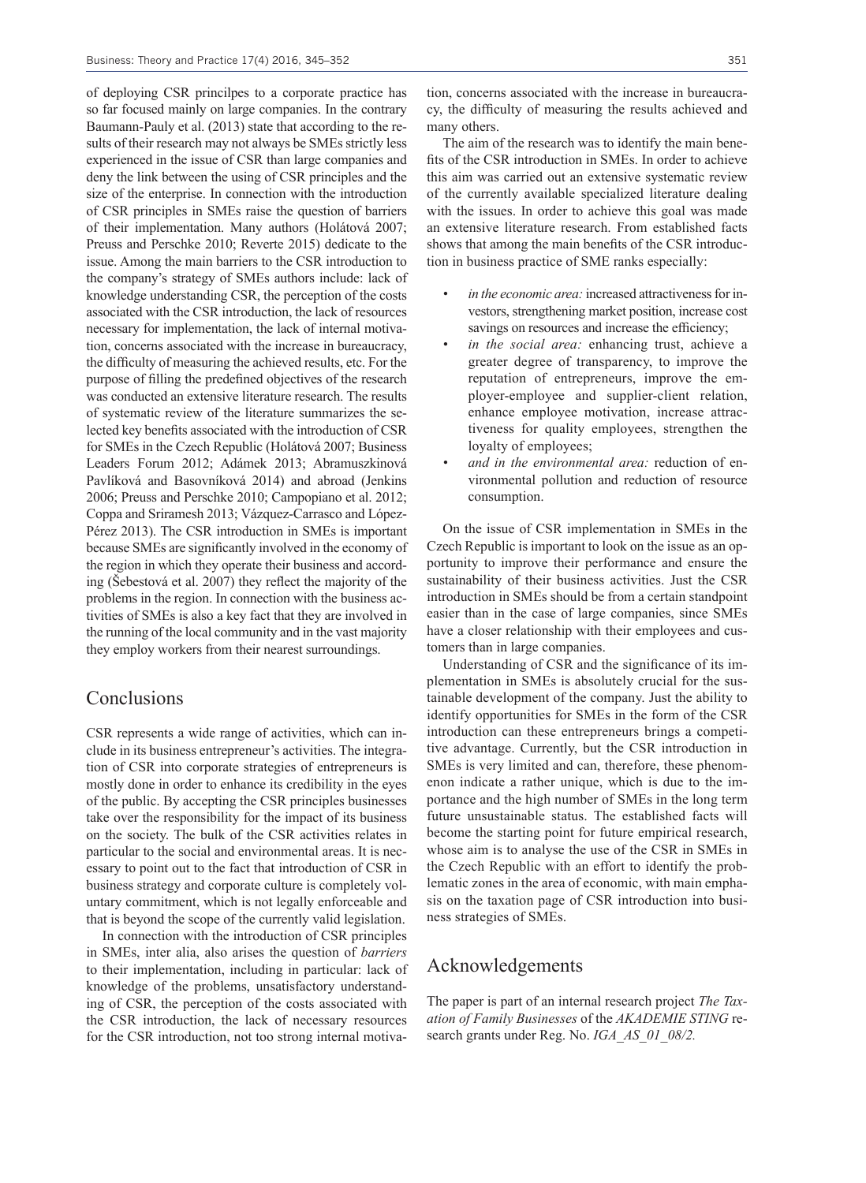of deploying CSR princilpes to a corporate practice has so far focused mainly on large companies. In the contrary Baumann-Pauly et al. (2013) state that according to the results of their research may not always be SMEs strictly less experienced in the issue of CSR than large companies and deny the link between the using of CSR principles and the size of the enterprise. In connection with the introduction of CSR principles in SMEs raise the question of barriers of their implementation. Many authors (Holátová 2007; Preuss and Perschke 2010; Reverte 2015) dedicate to the issue. Among the main barriers to the CSR introduction to the company's strategy of SMEs authors include: lack of knowledge understanding CSR, the perception of the costs associated with the CSR introduction, the lack of resources necessary for implementation, the lack of internal motivation, concerns associated with the increase in bureaucracy, the difficulty of measuring the achieved results, etc. For the purpose of filling the predefined objectives of the research was conducted an extensive literature research. The results of systematic review of the literature summarizes the selected key benefits associated with the introduction of CSR for SMEs in the Czech Republic (Holátová 2007; Business Leaders Forum 2012; Adámek 2013; Abramuszkinová Pavlíková and Basovníková 2014) and abroad (Jenkins 2006; Preuss and Perschke 2010; Campopiano et al. 2012; Coppa and Sriramesh 2013; Vázquez-Carrasco and López-Pérez 2013). The CSR introduction in SMEs is important because SMEs are significantly involved in the economy of the region in which they operate their business and according (Šebestová et al. 2007) they reflect the majority of the problems in the region. In connection with the business activities of SMEs is also a key fact that they are involved in the running of the local community and in the vast majority they employ workers from their nearest surroundings.

#### Conclusions

CSR represents a wide range of activities, which can include in its business entrepreneur's activities. The integration of CSR into corporate strategies of entrepreneurs is mostly done in order to enhance its credibility in the eyes of the public. By accepting the CSR principles businesses take over the responsibility for the impact of its business on the society. The bulk of the CSR activities relates in particular to the social and environmental areas. It is necessary to point out to the fact that introduction of CSR in business strategy and corporate culture is completely voluntary commitment, which is not legally enforceable and that is beyond the scope of the currently valid legislation.

In connection with the introduction of CSR principles in SMEs, inter alia, also arises the question of *barriers*  to their implementation, including in particular: lack of knowledge of the problems, unsatisfactory understanding of CSR, the perception of the costs associated with the CSR introduction, the lack of necessary resources for the CSR introduction, not too strong internal motivation, concerns associated with the increase in bureaucracy, the difficulty of measuring the results achieved and many others.

The aim of the research was to identify the main benefits of the CSR introduction in SMEs. In order to achieve this aim was carried out an extensive systematic review of the currently available specialized literature dealing with the issues. In order to achieve this goal was made an extensive literature research. From established facts shows that among the main benefits of the CSR introduction in business practice of SME ranks especially:

- *• in the economic area:* increased attractiveness for investors, strengthening market position, increase cost savings on resources and increase the efficiency;
- *in the social area:* enhancing trust, achieve a greater degree of transparency, to improve the reputation of entrepreneurs, improve the employer-employee and supplier-client relation, enhance employee motivation, increase attractiveness for quality employees, strengthen the loyalty of employees;
- *• and in the environmental area:* reduction of environmental pollution and reduction of resource consumption.

On the issue of CSR implementation in SMEs in the Czech Republic is important to look on the issue as an opportunity to improve their performance and ensure the sustainability of their business activities. Just the CSR introduction in SMEs should be from a certain standpoint easier than in the case of large companies, since SMEs have a closer relationship with their employees and customers than in large companies.

Understanding of CSR and the significance of its implementation in SMEs is absolutely crucial for the sustainable development of the company. Just the ability to identify opportunities for SMEs in the form of the CSR introduction can these entrepreneurs brings a competitive advantage. Currently, but the CSR introduction in SMEs is very limited and can, therefore, these phenomenon indicate a rather unique, which is due to the importance and the high number of SMEs in the long term future unsustainable status. The established facts will become the starting point for future empirical research, whose aim is to analyse the use of the CSR in SMEs in the Czech Republic with an effort to identify the problematic zones in the area of economic, with main emphasis on the taxation page of CSR introduction into business strategies of SMEs.

#### Acknowledgements

The paper is part of an internal research project *The Taxation of Family Businesses* of the *AKADEMIE STING* research grants under Reg. No. *IGA\_AS\_01\_08/2.*